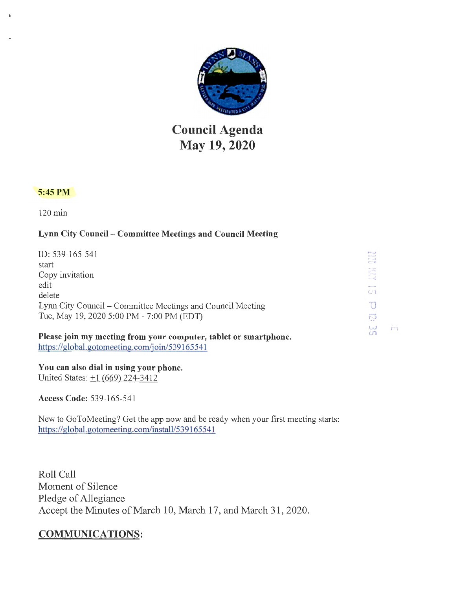

# **Council Agenda May 19, 2020**

# 5:45 PM

120 min

# Lynn City Council - Committee Meetings and Council Meeting

| ID: 539-165-541                                                  | 5                |
|------------------------------------------------------------------|------------------|
| start                                                            | $C_{\text{max}}$ |
| Copy invitation                                                  |                  |
| edit                                                             |                  |
| delete                                                           | $C_1$            |
| Lynn City Council – Committee Meetings and Council Meeting       |                  |
| Tue, May 19, 2020 5:00 PM - 7:00 PM (EDT)                        | ៊                |
| Please join my meeting from your computer, tablet or smartphone. | سا<br>CT         |

Èή

You can also dial in using your phone. United States:  $\pm 1$  (669) 224-3412

https://global.gotomeeting.com/join/539165541

Access Code: 539-165-541

New to GoToMeeting? Get the app now and be ready when your first meeting starts: https://global.gotomeeting.com/install/539165541

Roll Call Moment of Silence Pledge of Allegiance Accept the Minutes of March 10, March 17, and March 31, 2020.

# COMMUNICATIONS: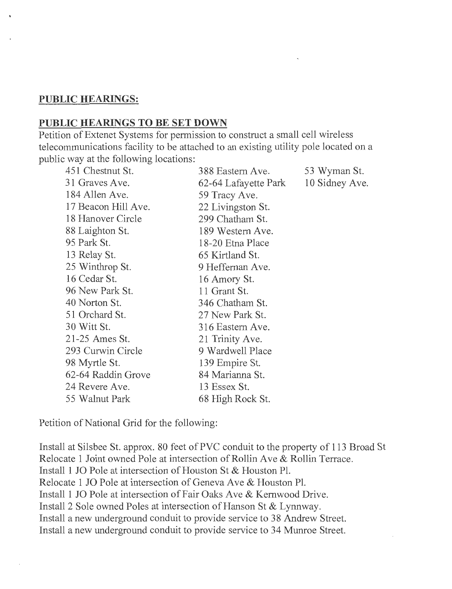# **PUBLIC HEARINGS:**

## **PUBLIC HEARINGS TO BE SET DOWN**

Petition of Extenet Systems for permission to construct a small cell wireless telecommunications facility to be attached to an existing utility pole located on a public way at the following locations:

| 451 Chestnut St.    | 388 Eastern Ave.     | 53 Wyman St.   |
|---------------------|----------------------|----------------|
| 31 Graves Ave.      | 62-64 Lafayette Park | 10 Sidney Ave. |
| 184 Allen Ave.      | 59 Tracy Ave.        |                |
| 17 Beacon Hill Ave. | 22 Livingston St.    |                |
| 18 Hanover Circle   | 299 Chatham St.      |                |
| 88 Laighton St.     | 189 Western Ave.     |                |
| 95 Park St.         | 18-20 Etna Place     |                |
| 13 Relay St.        | 65 Kirtland St.      |                |
| 25 Winthrop St.     | 9 Heffernan Ave.     |                |
| 16 Cedar St.        | 16 Amory St.         |                |
| 96 New Park St.     | 11 Grant St.         |                |
| 40 Norton St.       | 346 Chatham St.      |                |
| 51 Orchard St.      | 27 New Park St.      |                |
| 30 Witt St.         | 316 Eastern Ave.     |                |
| 21-25 Ames St.      | 21 Trinity Ave.      |                |
| 293 Curwin Circle   | 9 Wardwell Place     |                |
| 98 Myrtle St.       | 139 Empire St.       |                |
| 62-64 Raddin Grove  | 84 Marianna St.      |                |
| 24 Revere Ave.      | 13 Essex St.         |                |
| 55 Walnut Park      | 68 High Rock St.     |                |

Petition of National Grid for the following:

Install at Silsbee St. approx. 80 feet of PVC conduit to the property of 113 Broad St Relocate 1 Joint owned Pole at intersection of Rollin Ave & Rollin Terrace. Install I JO Pole at intersection of Houston St & Houston Pl. Relocate 1 JO Pole at intersection of Geneva Ave & Houston Pl. Install I JO Pole at intersection of Fair Oaks Ave & Kernwood Drive. Install 2 Sole owned Poles at intersection of Hanson St & Lynnway. Install a new underground conduit to provide service to 38 Andrew Street. Install a new underground conduit to provide service to 34 Munroe Street.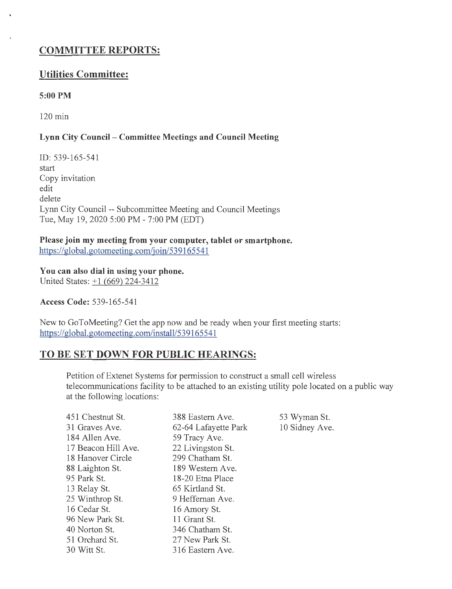# **COMMITTEE REPORTS:**

# **Utilities Committee:**

#### **S:OOPM**

120 min

## **Lynn City Council - Committee Meetings and Council Meeting**

ID: 539-165-541 start Copy invitation edit delete Lynn City Council -- Subcommittee Meeting and Council Meetings Tue, May 19, 2020 5:00 PM - 7:00 PM (EDT)

**Please join my meeting from your computer, tablet or smartphone.**  https://global.gotomeeting.com/join/539165541

**You can also dial in using your phone.**  United States:  $\pm 1$  (669) 224-3412

**Access Code: 539-165-541** 

New to GoToMeeting? Get the app now and be ready when your first meeting starts: https://global.gotomeeting.com/install/539165541

# **TO BE SET DOWN FOR PUBLIC HEARINGS:**

Petition of Extenet Systems for permission to construct a small cell wireless telecommunications facility to be attached to an existing utility pole located on a public way at the following locations:

| 451 Chestnut St.    | 388 Eastern Ave.     | 53 Wyman St.   |
|---------------------|----------------------|----------------|
| 31 Graves Ave.      | 62-64 Lafayette Park | 10 Sidney Ave. |
| 184 Allen Ave.      | 59 Tracy Ave.        |                |
| 17 Beacon Hill Ave. | 22 Livingston St.    |                |
| 18 Hanover Circle   | 299 Chatham St.      |                |
| 88 Laighton St.     | 189 Western Ave.     |                |
| 95 Park St.         | 18-20 Etna Place     |                |
| 13 Relay St.        | 65 Kirtland St.      |                |
| 25 Winthrop St.     | 9 Heffernan Ave.     |                |
| 16 Cedar St.        | 16 Amory St.         |                |
| 96 New Park St.     | 11 Grant St.         |                |
| 40 Norton St.       | 346 Chatham St.      |                |
| 51 Orchard St.      | 27 New Park St.      |                |
| 30 Witt St.         | 316 Eastern Ave.     |                |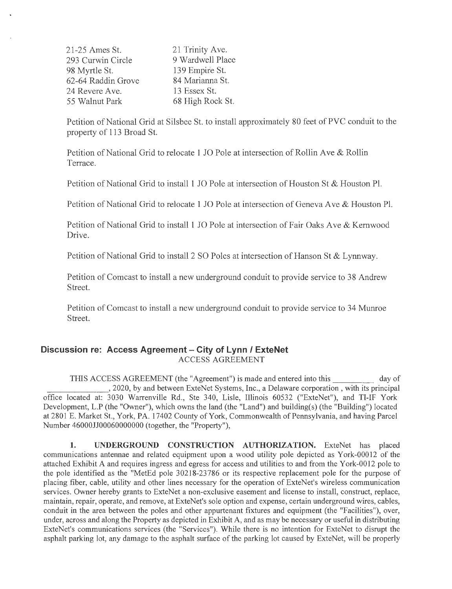21-25 Ames St. 293 Curwin Circle 98 Myrtle St. 62-64 Raddin Grove 24 Revere Ave. 55 Walnut Park 21 Trinity Ave. 9 Wardwell Place 139 Empire St. 84 Marianna St. 13 Essex St. 68 High Rock St.

Petition of National Grid at Silsbee St. to install approximately 80 feet of PVC conduit to the property of 113 Broad St.

Petition of National Grid to relocate 1 JO Pole at intersection of Rollin Ave & Rollin Terrace.

Petition of National Grid to install 1 JO Pole at intersection of Houston St & Houston Pl.

Petition of National Grid to relocate 1 JO Pole at intersection of Geneva Ave & Houston Pl.

Petition of National Grid to install l JO Pole at intersection of Fair Oaks Ave & Kemwood Drive.

Petition of National Grid to install 2 SO Poles at intersection of Hanson St & Lynnway.

Petition of Comcast to install a new underground conduit to provide service to 38 Andrew Street.

Petition of Comcast to install a new underground conduit to provide service to 34 Munroe Street.

#### **Discussion re: Access Agreement - City of Lynn / ExteNet** ACCESS AGREEMENT

THIS ACCESS AGREEMENT (the "Agreement") is made and entered into this day of \_\_\_\_\_\_ , 2020, by and between ExteNet Systems, Inc., a Delaware corporation, with its principal office located at: 3030 Warrenville Rd., Ste 340, Lisle, Illinois 60532 ("ExteNet"), and TI-IF York Development, L.P (the "Owner"), which owns the land (the "Land") and building(s) (the "Building") located at 2801 E. Market St., York, PA. 17402 County of York, Commonwealth of Pennsylvania, and having Parcel Number 46000JJ00060000000 (together, the "Property"),

**1. UNDERGROUND CONSTRUCTION AUTHORIZATION.** ExteNet has placed communications antennae and related equipment upon a wood utility pole depicted as York-00012 of the attached Exhibit A and requires ingress and egress for access and utilities to and from the York-0012 pole to the pole identified as the "MetEd pole 30218-23786 or its respective replacement pole for the purpose of placing fiber, cable, utility and other lines necessary for the operation of ExteNet's wireless communication services. Owner hereby grants to ExteNet a non-exclusive easement and license to install, construct, replace, maintain, repair, operate, and remove, at ExteNet's sole option and expense, certain underground wires, cables, conduit in the area between the poles and other appurtenant fixtures and equipment (the "Facilities"), over, under, across and along the Property as depicted in Exhibit A, and as may be necessary or useful in distributing ExteNet's communications services (the "Services"). While there is no intention for ExteNet to disrupt the asphalt parking lot, any damage to the asphalt surface of the parking lot caused by ExteNet, will be properly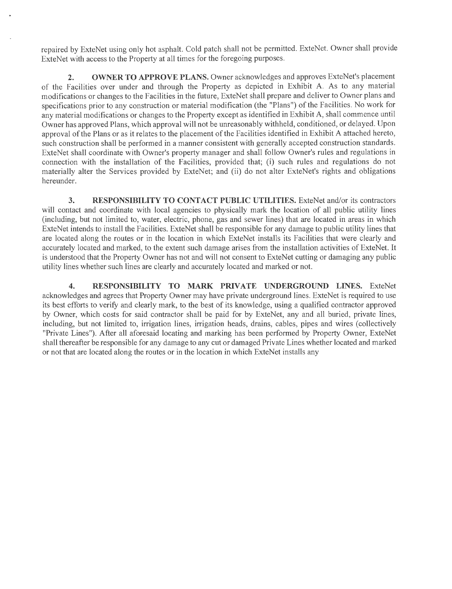repaired by ExteNet using only hot asphalt. Cold patch shall not be permitted. ExteNet. Owner shall provide ExteNet with access to the Property at all times for the foregoing purposes.

2. OWNER TO APPROVE PLANS. Owner acknowledges and approves ExteNet's placement of the Facilities over under and through the Property as depicted in Exhibit A. As to any material modifications or changes to the Facilities in the future, ExteNet shall prepare and deliver to Owner plans and specifications prior to any construction or material modification (the "Plans") of the Facilities. No work for any material modifications or changes to the Property except as identified in Exhibit A, shall commence until Owner has approved Plans, which approval will not be unreasonably withheld, conditioned, or delayed. Upon approval of the Plans or as it relates to the placement of the Facilities identified in Exhibit A attached hereto, such construction shall be performed in a manner consistent with generally accepted construction standards. ExteNet shall coordinate with Owner's property manager and shall follow Owner's rules and regulations in connection with the installation of the Facilities, provided that; (i) such rules and regulations do not materially alter the Services provided by ExteNet; and (ii) do not alter ExteNet's rights and obligations hereunder.

**3. RESPONSIBILITY TO CONTACT PUBLIC UTILITIES.** ExteNet and/or its contractors will contact and coordinate with local agencies to physically mark the location of all public utility lines (including, but not limited to, water, electric, phone, gas and sewer lines) that are located in areas in which ExteNet intends to install the Facilities. ExteNet shall be responsible for any damage to public utility lines that are located along the routes or in the location in which ExteNet installs its Facilities that were clearly and accurately located and marked, to the extent such damage arises from the installation activities of ExteNet. It is understood that the Property Owner has not and will not consent to ExteNet cutting or damaging any public utility lines whether such lines are clearly and accurately located and marked or not.

**4. RESPONSIBILITY TO MARK PRIVATE UNDERGROUND LINES.** ExteNet acknowledges and agrees that Property Owner may have private underground lines. ExteNet is required to use its best efforts to verify and clearly mark, to the best of its knowledge, using a qualified contractor approved by Owner, which costs for said contractor shall be paid for by ExteNet, any and all buried, private lines, including, but not limited to, irrigation lines, irrigation heads, drains, cables, pipes and wires (collectively "Private Lines"). After all aforesaid locating and marking has been performed by Property Owner, ExteNet shall thereafter be responsible for any damage to any cut or damaged Private Lines whether located and marked or not that are located along the routes or in the location in which ExteNet installs any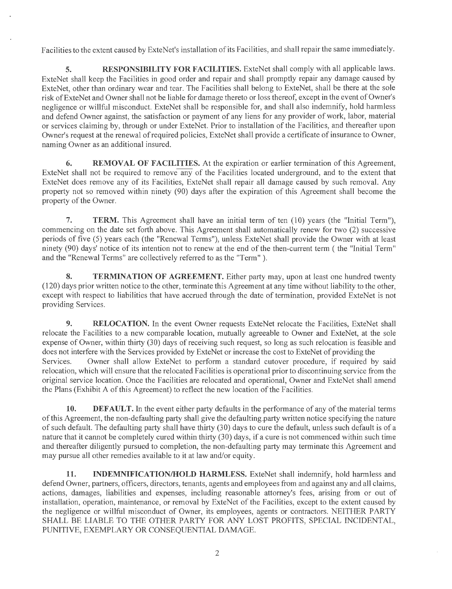Facilities to the extent caused by ExteNet's installation of its Facilities, and shall repair the same immediately.

**5. RESPONSIBILITY FOR FACILITIES.** ExteNet shall comply with all applicable laws. ExteNet shall keep the Facilities in good order and repair and shall promptly repair any damage caused by ExteNet, other than ordinary wear and tear. The Facilities shall belong to ExteNet, shall be there at the sole risk ofExteNet and Owner shall not be liable for damage thereto or loss thereof, except in the event of Owner's negligence or willful misconduct. ExteNet shall be responsible for, and shall also indemnify, hold harmless and defend Owner against, the satisfaction or payment of any liens for any provider of work, labor, material or services claiming by, through or under ExteNet. Prior to installation of the Facilities, and thereafter upon Owner's request at the renewal of required policies, ExteNet shall provide a certificate of insurance to Owner, naming Owner as an additional insured.

**6. REMOVAL OF FACILITIES.** At the expiration or earlier termination of this Agreement, ExteNet shall not be required to remove any of the Facilities located underground, and to the extent that ExteNet does remove any of its Facilities, ExteNet shall repair all damage caused by such removal. Any property not so removed within ninety (90) days after the expiration of this Agreement shall become the property of the Owner.

**7. TERM.** This Agreement shall have an initial term of ten (10) years (the "Initial Term"), commencing on the date set forth above. This Agreement shall automatically renew for two (2) successive periods of five (5) years each (the "Renewal Terms"), unless ExteNet shall provide the Owner with at least ninety (90) days' notice of its intention not to renew at the end of the then-current term ( the "Initial Term" and the "Renewal Terms" are collectively referred to as the "Term").

**8. TERMINATION OF AGREEMENT.** Either party may, upon at least one hundred twenty (120) days prior written notice to the other, terminate this Agreement at any time without liability to the other, except with respect to liabilities that have accrued through the date of termination, provided ExteNet is not providing Services.

**9.** RELOCATION. In the event Owner requests ExteNet relocate the Facilities, ExteNet shall relocate the Facilities to a new comparable location, mutually agreeable to Owner and ExteNet, at the sole expense of Owner, within thirty (30) days of receiving such request, so long as such relocation is feasible and does not interfere with the Services provided by ExteNet or increase the cost to ExteNet of providing the Services. Owner shall allow ExteNet to perform a standard cutover procedure, if required by said relocation, which will ensure that the relocated Facilities is operational prior to discontinuing service from the original service location. Once the Facilities are relocated and operational, Owner and ExteNet shall amend the Plans (Exhibit A of this Agreement) to reflect the new location of the Facilities.

**10. DEFAULT.** In the event either party defaults in the performance of any of the material terms of this Agreement, the non-defaulting party shall give the defaulting .party written notice specifying the nature of such default. The defaulting party shall have thirty (30) days to cure the default, unless such default is of a nature that it cannot be completely cured within thirty (30) days, if a cure is not commenced within such time and thereafter diligently pursued to completion, the non-defaulting party may terminate this Agreement and may pursue all other remedies available to it at law and/or equity.

**11. INDEMNIFICATION/HOLD HARMLESS.** ExteNet shall indemnify, hold harmless and defend Owner, partners, officers, directors, tenants, agents and employees from and against any and all claims, actions, damages, liabilities and expenses, including reasonable attorney's fees, arising from or out of installation, operation, maintenance, or removal by ExteNet of the Facilities, except to the extent caused by the negligence or willful misconduct of Owner, its employees, agents or contractors. NEITHER PARTY SHALL BE LIABLE TO THE OTHER PARTY FOR ANY LOST PROFITS, SPECIAL INCIDENTAL, PUNITIVE, EXEMPLARY OR CONSEQUENTIAL DAMAGE.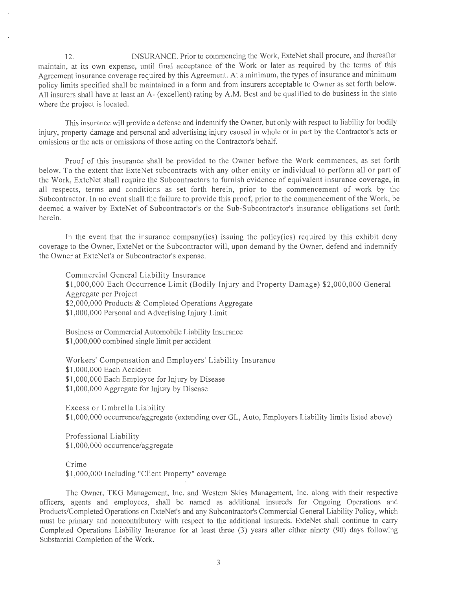12. INSURANCE. Prior to commencing the Work, ExteNet shall procure, and thereafter maintain, at its own expense, until final acceptance of the Work or later as required by the terms of this Agreement insurance coverage required by this Agreement. At a minimum, the types of insurance and minimum policy limits specified shall be maintained in a form and from insurers acceptable to Owner as set forth below. All insurers shall have at least an A- (excellent) rating by A.M. Best and be qualified to do business in the state where the project is located.

This insurance will provide a defense and indemnify the Owner, but only with respect to liability for bodily injury, property damage and personal and advertising injury caused in whole or in part by the Contractor's acts or omissions or the acts or omissions of those acting on the Contractor's behalf.

Proof of this insurance shall be provided to the Owner before the Work commences, as set forth below. To the extent that ExteNet subcontracts with any other entity or individual to perform all or part of the Work, ExteNet shall require the Subcontractors to furnish evidence of equivalent insurance coverage, in all respects, terms and conditions as set forth herein, prior to the commencement of work by the Subcontractor. In no event shall the failure to provide this proof, prior to the commencement of the Work, be deemed a waiver by ExteNet of Subcontractor's or the Sub-Subcontractor's insurance obligations set forth herein.

In the event that the insurance company(ies) issuing the policy(ies) required by this exhibit deny coverage to the Owner, ExteNet or the Subcontractor will, upon demand by the Owner, defend and indemnify the Owner at ExteNet's or Subcontractor's expense.

Commercial General Liability Insurance \$1,000,000 Each Occurrence Limit (Bodily Injury and Property Damage) \$2,000,000 General Aggregate per Project \$2,000,000 Products & Completed Operations Aggregate \$1,000,000 Personal and Advertising Injury Limit

Business or Commercial Automobile Liability Insurance \$1,000,000 combined single limit per accident

Workers' Compensation and Employers' Liability Insurance \$1,000,000 Each Accident \$1,000,000 Each Employee for Injury by Disease \$1,000,000 Aggregate for Injury by Disease

Excess or Umbrella Liability \$1,000,000 occurrence/aggregate (extending over GL, Auto, Employers Liability limits listed above)

Professional Liability \$1,000,000 occurrence/aggregate

Crime

\$1,000,000 Including "Client Property" coverage

The Owner, TKG Management, Inc. and Western Skies Management, Inc. along with their respective officers, agents and employees, shall be named as additional insureds for Ongoing Operations and Products/Completed Operations on ExteNet's and any Subcontractor's Commercial General Liability Policy, which must be primary and noncontributory with respect to the additional insureds. ExteNet shall continue to carry Completed Operations Liability Insurance for at least three (3) years after either ninety (90) days following Substantial Completion of the Work.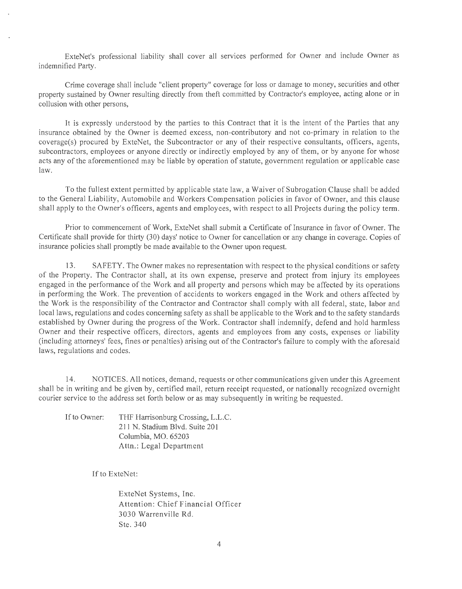ExteNet's professional liability shall cover all services performed for Owner and include Owner as indemnified Party.

Crime coverage shall include "client property" coverage for loss or damage to money, securities and other property sustained by Owner resulting directly from theft committed by Contractor's employee, acting alone or in collusion with other persons,

It is expressly understood by the parties to this Contract that it is the intent of the Parties that any insurance obtained by the Owner is deemed excess, non-contributory and not co-primary in relation to the coverage(s) procured by ExteNet, the Subcontractor or any of their respective consultants, officers, agents, subcontractors, employees or anyone directly or indirectly employed by any of them, or by anyone for whose acts any of the aforementioned may be liable by operation of statute, government regulation or applicable case law.

To the fullest extent permitted by applicable state law, a Waiver of Subrogation Clause shall be added to the General Liability, Automobile and Workers Compensation policies in favor of Owner, and this clause shall apply to the Owner's officers, agents and employees, with respect to all Projects during the policy term.

Prior to commencement of Work, ExteNet shall submit a Certificate of Insurance in favor of Owner. The Certificate shall provide for thirty (30) days' notice to Owner for cancellation or any change in coverage. Copies of insurance policies shall promptly be made available to the Owner upon request.

13. SAFETY. The Owner makes no representation with respect to the physical conditions or safety of the Property. The Contractor shall, at its own expense, preserve and protect from injury its employees engaged in the performance of the Work and all property and persons which may be affected by its operations in performing the Work. The prevention of accidents to workers engaged in the Work and others affected by the Work is the responsibility of the Contractor and Contractor shall comply with all federal, state, labor and local laws, regulations and codes concerning safety as shall be applicable to the Work and to the safety standards established by Owner during the progress of the Work. Contractor shall indemnify, defend and hold harmless Owner and their respective officers, directors, agents and employees from any costs, expenses or liability (including attorneys' fees, fines or penalties) arising out of the Contractor's failure to comply with the aforesaid laws, regulations and codes.

14. NOTICES. All notices, demand, requests or other communications given under this Agreement shall be in writing and be given by, certified mail, return receipt requested, or nationally recognized overnight courier service to the address set forth below or as may subsequently in writing be requested.

If to Owner: THF Harrisonburg Crossing, L.L.C. 211 N. Stadium Blvd. Suite 201 Columbia, MO. 65203 Attn.: Legal Department

If to ExteNet:

ExteNet Systems, Inc. Attention: Chief Financial Officer 3030 Warrenville Rd. Ste. 340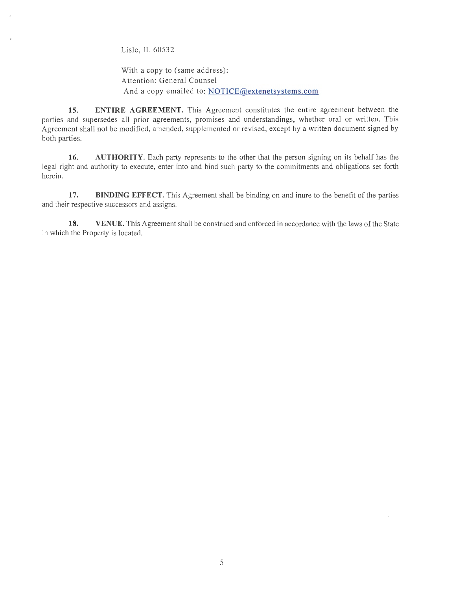Lisle, IL 60532

With a copy to (same address): Attention: General Counsel And a copy emailed to: NOTICE@extenetsystems.com

**15. ENTIRE AGREEMENT.** This Agreement constitutes the entire agreement between the parties and supersedes all prior agreements, promises and understandings, whether oral or written. This Agreement shall not be modified, amended, supplemented or revised, except by a written document signed by both parties.

**16. AUTHORITY.** Each party represents to the other that the person signing on its behalf has the legal right and authority to execute, enter into and bind such party to the commitments and obligations set forth herein.

17. **BINDING EFFECT.** This Agreement shall be binding on and inure to the benefit of the parties and their respective successors and assigns.

**18.** VENUE. This Agreement shall be construed and enforced in accordance with the laws of the State in which the Property is located.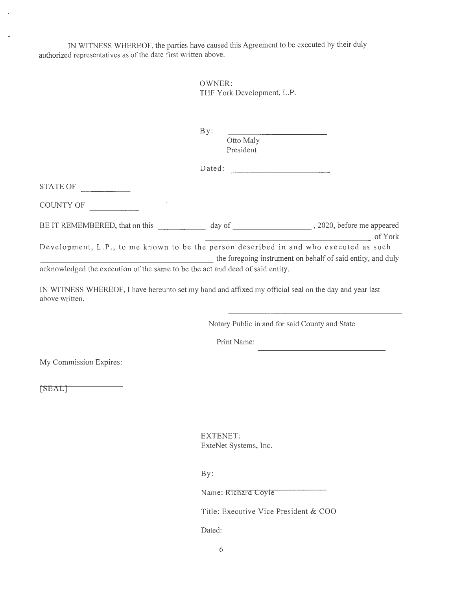IN WITNESS WHEREOF, the parties have caused this Agreement to be executed by their duly authorized representatives as of the date first written above.

> OWNER: THF York Development, L.P.

By:

Otto Maly President

Dated:

STATE OF

COUNTY OF

| BE IT REMEMBERED, that on this                                                        | day of |  | 2020, before me appeared |
|---------------------------------------------------------------------------------------|--------|--|--------------------------|
|                                                                                       |        |  | of York                  |
| Development, L.P., to me known to be the person described in and who executed as such |        |  |                          |

the foregoing instrument on behalf of said entity, and duly acknowledged the execution of the same to be the act and deed of said entity.

IN WITNESS WHEREOF, I have hereunto set my hand and affixed my official seal on the day and year last above written.

Notary Public in and for said County and State

Print Name:

My Commission Expires:

[SEAL]

EXTENET: ExteNet Systems, Inc.

By:

Name: Richard Coyle

Title: Executive Vice President & COO

Dated: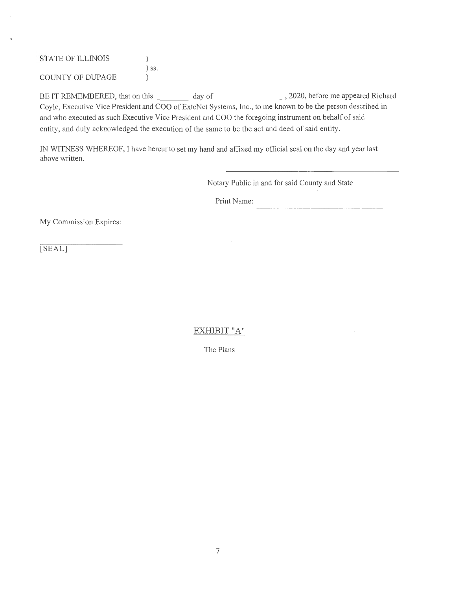STATE OF ILLINOIS  $)$ ) SS. COUNTY OF DUPAGE )

BE IT REMEMBERED, that on this \_\_\_ day of \_\_\_\_\_\_\_ , 2020, before me appeared Richard Coyle, Executive Vice President and COO of ExteNet Systems, Inc., to me known to be the person described in and who executed as such Executive Vice President and COO the foregoing instrument on behalf of said entity, and duly acknowledged the execution of the same to be the act and deed of said entity.

IN WITNESS WHEREOF, I have hereunto set my hand and affixed my official seal on the day and year last above written.

Notary Public in and for said County and State

Print Name:

My Commission Expires:

[SEAL]

EXHIBIT "A"

The Plans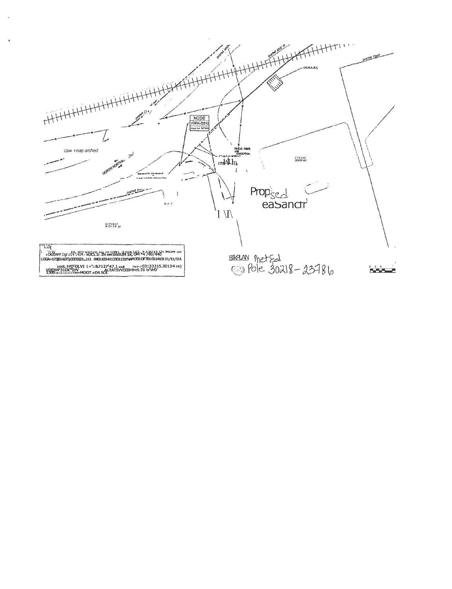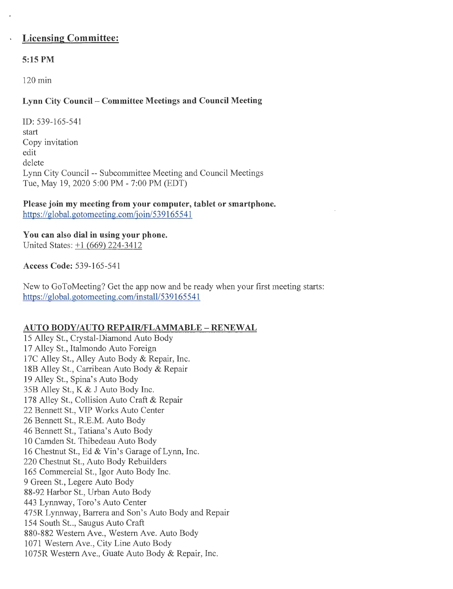# **Licensing Committee:**

## **5:15 PM**

120 min

## **Lynn City Council - Committee Meetings and Council Meeting**

ID: 539-165-541 start Copy invitation edit delete Lynn City Council -- Subcommittee Meeting and Council Meetings Tue, May 19, 2020 5:00 PM - 7:00 PM (EDT)

**Please join my meeting from your computer, tablet or smartphone.**  https://global.gotomeeting.com/join/539165541

**You can also dial in using your phone.**  United States: +1 (669) 224-3412

**Access Code:** 539-165-541

New to GoToMeeting? Get the app now and be ready when your first meeting starts: https://global.gotomeeting.com/install/539165541

#### **AUTO BODY/AUTO REP AIR/FLAMMABLE - RENEW AL**

15 Alley St., Crystal-Diamond Auto Body 17 Alley St., Italmondo Auto Foreign 17C Alley St., Alley Auto Body & Repair, Inc. 18B Alley St., Carribean Auto Body & Repair 19 Alley St., Spina's Auto Body 35B Alley St., K & J Auto Body Inc. 178 Alley St., Collision Auto Craft & Repair 22 Bennett St., VIP Works Auto Center 26 Bennett St., R.E.M. Auto Body 46 Bennett St., Tatiana's Auto Body 10 Camden St. Thibedeau Auto Body 16 Chestnut St., Ed & Vin's Garage of Lynn, Inc. 220 Chestnut St., Auto Body Rebuilders 165 Commercial St., Igor Auto Body Inc. 9 Green St., Legere Auto Body 88-92 Harbor St., Urban Auto Body 443 Lynnway, Toro's Auto Center 475R Lynnway, Barrera and Son's Auto Body and Repair 154 South St.., Saugus Auto Craft 880-882 Western Ave., Western Ave. Auto Body 1071 Western Ave., City Line Auto Body 1075R Western Ave., Guate Auto Body & Repair, Inc.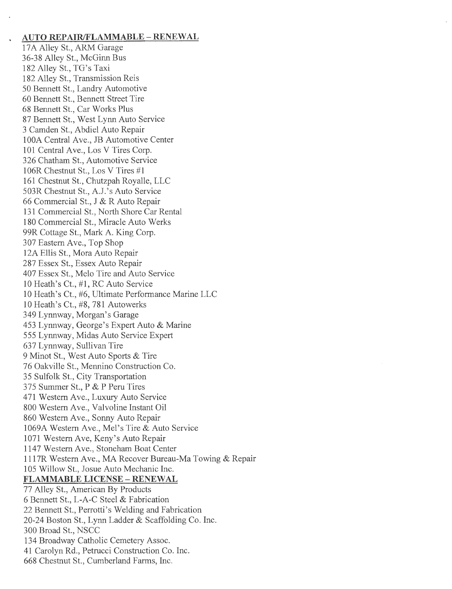#### **AUTO REPAIR/FLAMMABLE - RENEWAL**

l 7A Alley St., ARM Garage 36-38 Alley St., McGinn Bus 182 Alley St., TG's Taxi 182 Alley St., Transmission Reis 50 Bennett St., Landry Automotive 60 Bennett St., Bennett Street Tire 68 Bennett St., Car Works Plus 87 Bennett St., West Lynn Auto Service 3 Camden St., Abdiel Auto Repair lOOA Central Ave., JB Automotive Center 101 Central Ave., Los V Tires Corp. 326 Chatham St., Automotive Service 106R Chestnut St., Los V Tires #1 161 Chestnut St., Chutzpah Royalle, LLC 503R Chestnut St., A.J.'s Auto Service 66 Commercial St., J & R Auto Repair 131 Commercial St., North Shore Car Rental 180 Commercial St., Miracle Auto Werks 99R Cottage St., Mark A. King Corp. 307 Eastern Ave., Top Shop 12A Ellis St., Mora Auto Repair 287 Essex St., Essex Auto Repair 407 Essex St., Melo Tire and Auto Service 10 Heath's Ct., #1, RC Auto Service 10 Heath's Ct., #6, Ultimate Performance Marine LLC 10 Heath's Ct., #8, 781 Autowerks 349 Lynnway, Morgan's Garage 453 Lynnway, George's Expert Auto & Marine 555 Lynnway, Midas Auto Service Expert 637 Lynnway, Sullivan Tire 9 Minot St., West Auto Sports & Tire 76 Oakville St., Mennino Construction Co. 35 Sulfolk St., City Transportation 375 Summer St., P & P Peru Tires 471 Western Ave., Luxury Auto Service 800 Western Ave., Valvoline Instant Oil 860 Western Ave., Sonny Auto Repair 1069A Western Ave., Mel's Tire & Auto Service 1071 Western Ave, Keny's Auto Repair 1147 Western Ave., Stoneham Boat Center 1117R Western Ave., MA Recover Bureau-Ma Towing & Repair 105 Willow St., Josue Auto Mechanic Inc. **FLAMMABLE LICENSE - RENEWAL** 77 Alley St., American By Products 6 Bennett St., L-A-C Steel & Fabrication

22 Bennett St., Perrotti's Welding and Fabrication 20-24 Boston St., Lynn Ladder & Scaffolding Co. Inc. 300 Broad St., NSCC 134 Broadway Catholic Cemetery Assoc. 41 Carolyn Rd., Petrucci Construction Co. Inc. 668 Chestnut St., Cumberland Farms, Inc.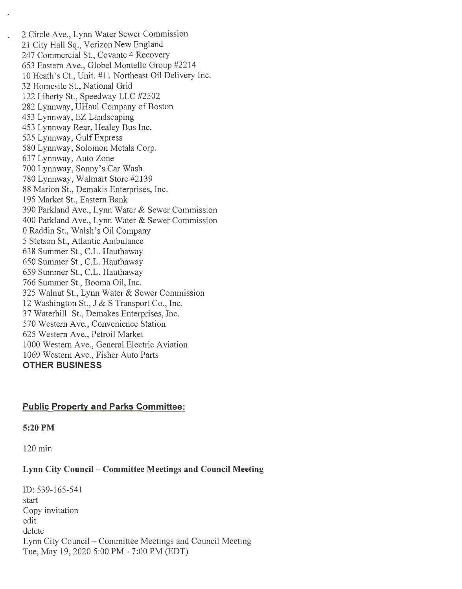2 Circle Ave., Lynn Water Sewer Commission 21 City Hall Sq., Verizon New England 247 Commercial St., Covante 4 Recovery 653 Eastern Ave., Globel Montello Group #2214 10 Heath's Ct., Unit. #11 Northeast Oil Delivery Inc. 32 Homesite St., National Grid 122 Liberty St., Speedway LLC #2502 282 Lynnway, UHaul Company of Boston 453 Lynnway, EZ Landscaping 453 Lynnway Rear, Healey Bus Inc. 525 Lynnway, Gulf Express 580 Lynnway, Solomon Metals Corp. 637 Lynnway, Auto Zone 700 Lynnway, Sonny's Car Wash 780 Lynnway, Walmart Store #2139 88 Marion St., Demakis Enterprises, Inc. 195 Market St., Eastern Bank 390 Parkland Ave., Lynn Water & Sewer Commission 400 Parkland Ave., Lynn Water & Sewer Commission 0 Raddin St., Walsh's Oil Company 5 Stetson St., Atlantic Ambulance 638 Summer St., C.L. Hauthaway 650 Summer St., C.L. Hauthaway 659 Summer St., C.L. Hauthaway 766 Summer St., Booma Oil, Inc. 325 Walnut St., Lynn Water & Sewer Commission 12 Washington St., J & S Transport Co., Inc. 37 Waterhill St., Demakes Enterprises, Inc. 570 Western Ave., Convenience Station 625 Western Ave., Petroil Market 1000 Western Ave., General Electric Aviation 1069 Western Ave., Fisher Auto Parts **OTHER BUSINESS** 

#### **Public Property and Parks Committee:**

#### **5:20PM**

 $\mathbf{r}$ 

120 min

#### **Lynn City Council - Committee Meetings and Council Meeting**

ID: 539-165-541 start Copy invitation edit delete Lynn City Council - Committee Meetings and Council Meeting Tue, May 19, 2020 5:00 PM - 7:00 PM (EDT)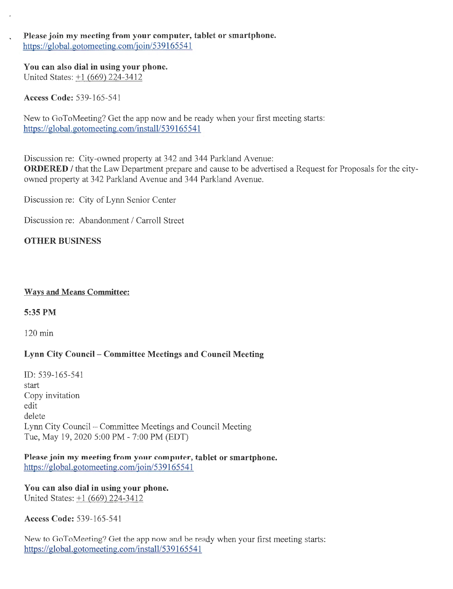#### Please join my meeting from your computer, tablet or smartphone. https://global.gotomeeting.com/join/539165541

You can also dial in using your phone. United States: +1 (669) 224-3412

Access Code: 539-165-541

New to GoToMeeting? Get the app now and be ready when your first meeting starts: https://global.gotomeeting.com/install/539165541

Discussion re: City-owned property at 342 and 344 Parkland Avenue: ORDERED / that the Law Department prepare and cause to be advertised a Request for Proposals for the cityowned property at 342 Parkland Avenue and 344 Parkland Avenue.

Discussion re: City of Lynn Senior Center

Discussion re: Abandonment / Carroll Street

# OTHER BUSINESS

#### Ways and Means Committee:

## 5:35PM

120 min

## Lynn City Council - Committee Meetings and Council Meeting

ID: 539-165-541 start Copy invitation edit delete Lynn City Council - Committee Meetings and Council Meeting Tue, May 19, 2020 5:00 PM - 7:00 PM (EDT)

Please join my meeting from your computer, tablet or smartphone. https://global.gotomeeting.com/join/539165541

You can also dial in using your phone. United States: +1 (669) 224-3412

Access Code: 539-165-541

New to GoToMeeting? Get the app now and be ready when your first meeting starts: https://global.gotomeeting.com/install/539165541